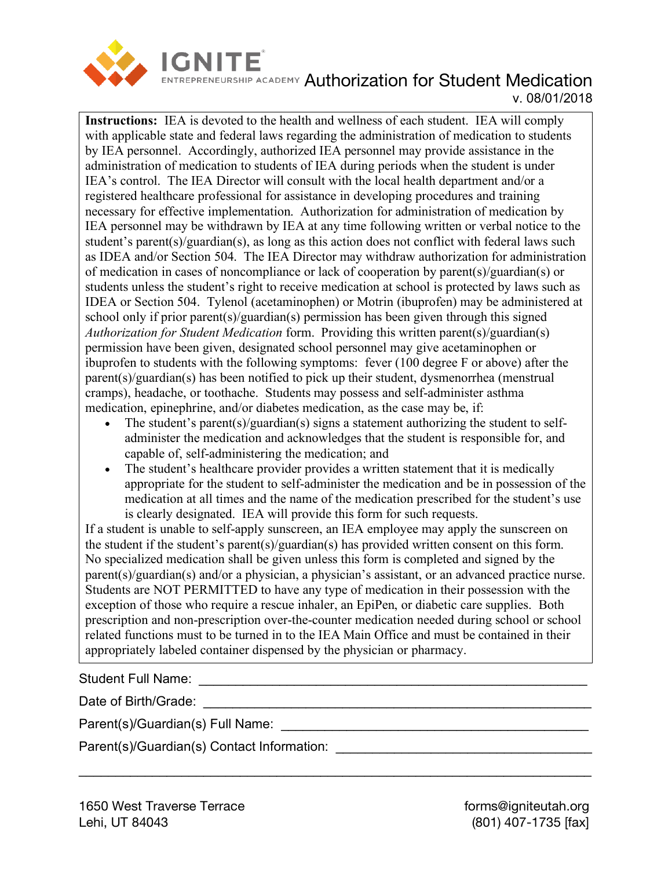

# **ENTREPRENEURSHIP ACADEMY Authorization for Student Medication** v. 08/01/2018

**Instructions:** IEA is devoted to the health and wellness of each student. IEA will comply with applicable state and federal laws regarding the administration of medication to students by IEA personnel. Accordingly, authorized IEA personnel may provide assistance in the administration of medication to students of IEA during periods when the student is under IEA's control. The IEA Director will consult with the local health department and/or a registered healthcare professional for assistance in developing procedures and training necessary for effective implementation. Authorization for administration of medication by IEA personnel may be withdrawn by IEA at any time following written or verbal notice to the student's parent(s)/guardian(s), as long as this action does not conflict with federal laws such as IDEA and/or Section 504. The IEA Director may withdraw authorization for administration of medication in cases of noncompliance or lack of cooperation by parent(s)/guardian(s) or students unless the student's right to receive medication at school is protected by laws such as IDEA or Section 504. Tylenol (acetaminophen) or Motrin (ibuprofen) may be administered at school only if prior parent(s)/guardian(s) permission has been given through this signed *Authorization for Student Medication* form. Providing this written parent(s)/guardian(s) permission have been given, designated school personnel may give acetaminophen or ibuprofen to students with the following symptoms: fever (100 degree F or above) after the parent(s)/guardian(s) has been notified to pick up their student, dysmenorrhea (menstrual cramps), headache, or toothache. Students may possess and self-administer asthma medication, epinephrine, and/or diabetes medication, as the case may be, if:

- The student's parent(s)/guardian(s) signs a statement authorizing the student to selfadminister the medication and acknowledges that the student is responsible for, and capable of, self-administering the medication; and
- The student's healthcare provider provides a written statement that it is medically appropriate for the student to self-administer the medication and be in possession of the medication at all times and the name of the medication prescribed for the student's use is clearly designated. IEA will provide this form for such requests.

If a student is unable to self-apply sunscreen, an IEA employee may apply the sunscreen on the student if the student's parent(s)/guardian(s) has provided written consent on this form. No specialized medication shall be given unless this form is completed and signed by the parent(s)/guardian(s) and/or a physician, a physician's assistant, or an advanced practice nurse. Students are NOT PERMITTED to have any type of medication in their possession with the exception of those who require a rescue inhaler, an EpiPen, or diabetic care supplies. Both prescription and non-prescription over-the-counter medication needed during school or school related functions must to be turned in to the IEA Main Office and must be contained in their appropriately labeled container dispensed by the physician or pharmacy.

\_\_\_\_\_\_\_\_\_\_\_\_\_\_\_\_\_\_\_\_\_\_\_\_\_\_\_\_\_\_\_\_\_\_\_\_\_\_\_\_\_\_\_\_\_\_\_\_\_\_\_\_\_\_\_\_\_\_\_\_\_\_\_\_\_\_\_\_\_\_

Student Full Name: **Example 2018** 

Date of Birth/Grade: \_\_\_\_\_\_\_\_\_\_\_\_\_\_\_\_\_\_\_\_\_\_\_\_\_\_\_\_\_\_\_\_\_\_\_\_\_\_\_\_\_\_\_\_\_\_\_\_\_\_\_\_\_

Parent(s)/Guardian(s) Full Name: \_\_\_\_\_\_\_\_\_\_\_\_\_\_\_\_\_\_\_\_\_\_\_\_\_\_\_\_\_\_\_\_\_\_\_\_\_\_\_\_\_\_

Parent(s)/Guardian(s) Contact Information: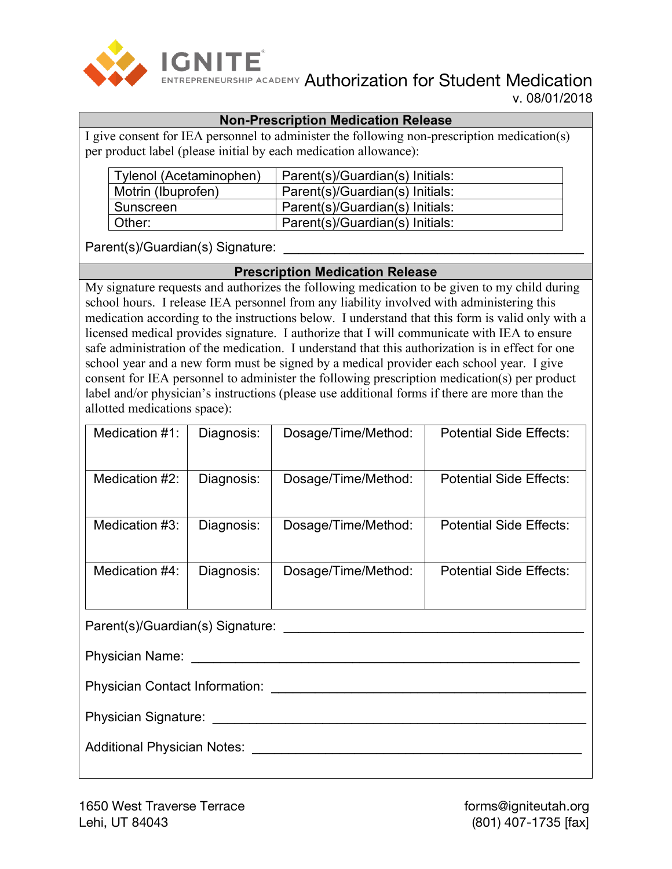

**ENTREPRENEURSHIP ACADEMY Authorization for Student Medication** v. 08/01/2018

#### **Non-Prescription Medication Release**

I give consent for IEA personnel to administer the following non-prescription medication(s) per product label (please initial by each medication allowance):

| Tylenol (Acetaminophen) | Parent(s)/Guardian(s) Initials: |
|-------------------------|---------------------------------|
| Motrin (Ibuprofen)      | Parent(s)/Guardian(s) Initials: |
| Sunscreen               | Parent(s)/Guardian(s) Initials: |
| Other:                  | Parent(s)/Guardian(s) Initials: |

Parent(s)/Guardian(s) Signature: \_\_\_\_\_\_\_\_\_\_\_\_\_\_\_\_\_\_\_\_\_\_\_\_\_\_\_\_\_\_\_\_\_\_\_\_\_\_\_\_\_

#### **Prescription Medication Release**

My signature requests and authorizes the following medication to be given to my child during school hours. I release IEA personnel from any liability involved with administering this medication according to the instructions below. I understand that this form is valid only with a licensed medical provides signature. I authorize that I will communicate with IEA to ensure safe administration of the medication. I understand that this authorization is in effect for one school year and a new form must be signed by a medical provider each school year. I give consent for IEA personnel to administer the following prescription medication(s) per product label and/or physician's instructions (please use additional forms if there are more than the allotted medications space):

| Medication $#1$ :                | Diagnosis: | Dosage/Time/Method: | <b>Potential Side Effects:</b> |  |
|----------------------------------|------------|---------------------|--------------------------------|--|
| Medication #2:                   | Diagnosis: | Dosage/Time/Method: | <b>Potential Side Effects:</b> |  |
| Medication #3:                   | Diagnosis: | Dosage/Time/Method: | <b>Potential Side Effects:</b> |  |
| Medication #4:                   | Diagnosis: | Dosage/Time/Method: | <b>Potential Side Effects:</b> |  |
| Parent(s)/Guardian(s) Signature: |            |                     |                                |  |

Physician Name: \_\_\_\_\_\_\_\_\_\_\_\_\_\_\_\_\_\_\_\_\_\_\_\_\_\_\_\_\_\_\_\_\_\_\_\_\_\_\_\_\_\_\_\_\_\_\_\_\_\_\_\_\_ Physician Contact Information: \_\_\_\_\_\_\_\_\_\_\_\_\_\_\_\_\_\_\_\_\_\_\_\_\_\_\_\_\_\_\_\_\_\_\_\_\_\_\_\_\_\_\_ Physician Signature: \_\_\_\_\_\_\_\_\_\_\_\_\_\_\_\_\_\_\_\_\_\_\_\_\_\_\_\_\_\_\_\_\_\_\_\_\_\_\_\_\_\_\_\_\_\_\_\_\_\_\_ Additional Physician Notes: \_\_\_\_\_\_\_\_\_\_\_\_\_\_\_\_\_\_\_\_\_\_\_\_\_\_\_\_\_\_\_\_\_\_\_\_\_\_\_\_\_\_\_\_\_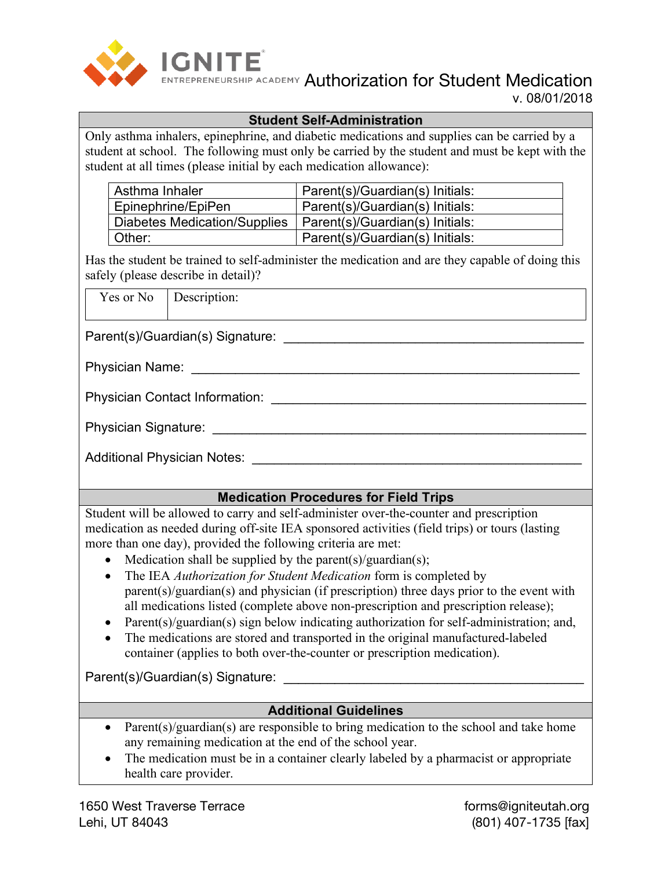

**ENTREPRENEURSHIP ACADEMY Authorization for Student Medication** v. 08/01/2018

#### **Student Self-Administration**

Only asthma inhalers, epinephrine, and diabetic medications and supplies can be carried by a student at school. The following must only be carried by the student and must be kept with the student at all times (please initial by each medication allowance):

| Asthma Inhaler                                                 | Parent(s)/Guardian(s) Initials: |
|----------------------------------------------------------------|---------------------------------|
| Epinephrine/EpiPen                                             | Parent(s)/Guardian(s) Initials: |
| Diabetes Medication/Supplies   Parent(s)/Guardian(s) Initials: |                                 |
| Other:                                                         | Parent(s)/Guardian(s) Initials: |

Has the student be trained to self-administer the medication and are they capable of doing this safely (please describe in detail)?

Yes or No Description:

Parent(s)/Guardian(s) Signature: \_\_\_\_\_\_\_\_\_\_\_\_\_\_\_\_\_\_\_\_\_\_\_\_\_\_\_\_\_\_\_\_\_\_\_\_\_\_\_\_\_

Physician Name: \_\_\_\_\_\_\_\_\_\_\_\_\_\_\_\_\_\_\_\_\_\_\_\_\_\_\_\_\_\_\_\_\_\_\_\_\_\_\_\_\_\_\_\_\_\_\_\_\_\_\_\_\_

Physician Contact Information: \_\_\_\_\_\_\_\_\_\_\_\_\_\_\_\_\_\_\_\_\_\_\_\_\_\_\_\_\_\_\_\_\_\_\_\_\_\_\_\_\_\_\_

Physician Signature: \_\_\_\_\_\_\_\_\_\_\_\_\_\_\_\_\_\_\_\_\_\_\_\_\_\_\_\_\_\_\_\_\_\_\_\_\_\_\_\_\_\_\_\_\_\_\_\_\_\_\_

Additional Physician Notes: **Additional Physician Notes:**  $\overline{a}$ 

## **Medication Procedures for Field Trips**

Student will be allowed to carry and self-administer over-the-counter and prescription medication as needed during off-site IEA sponsored activities (field trips) or tours (lasting more than one day), provided the following criteria are met:

- Medication shall be supplied by the parent(s)/guardian(s);
- The IEA *Authorization for Student Medication* form is completed by parent(s)/guardian(s) and physician (if prescription) three days prior to the event with all medications listed (complete above non-prescription and prescription release);
- Parent(s)/guardian(s) sign below indicating authorization for self-administration; and,
- The medications are stored and transported in the original manufactured-labeled container (applies to both over-the-counter or prescription medication).

Parent(s)/Guardian(s) Signature: **Example 2018** 

## **Additional Guidelines**

- Parent(s)/guardian(s) are responsible to bring medication to the school and take home any remaining medication at the end of the school year.
- The medication must be in a container clearly labeled by a pharmacist or appropriate health care provider.